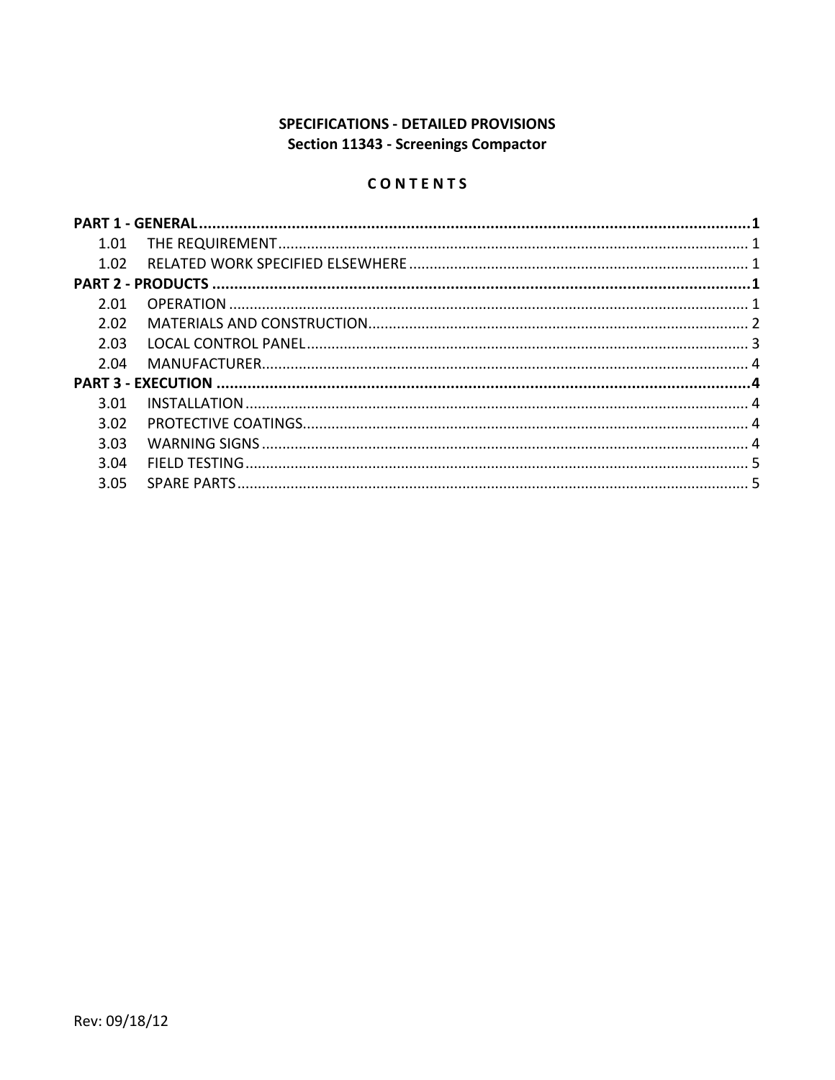# SPECIFICATIONS - DETAILED PROVISIONS **Section 11343 - Screenings Compactor**

# CONTENTS

| 1.01 |  |  |
|------|--|--|
| 1.02 |  |  |
|      |  |  |
| 2.01 |  |  |
| 2.02 |  |  |
| 2.03 |  |  |
| 2.04 |  |  |
|      |  |  |
| 3.01 |  |  |
| 3.02 |  |  |
| 3.03 |  |  |
| 3.04 |  |  |
| 3.05 |  |  |
|      |  |  |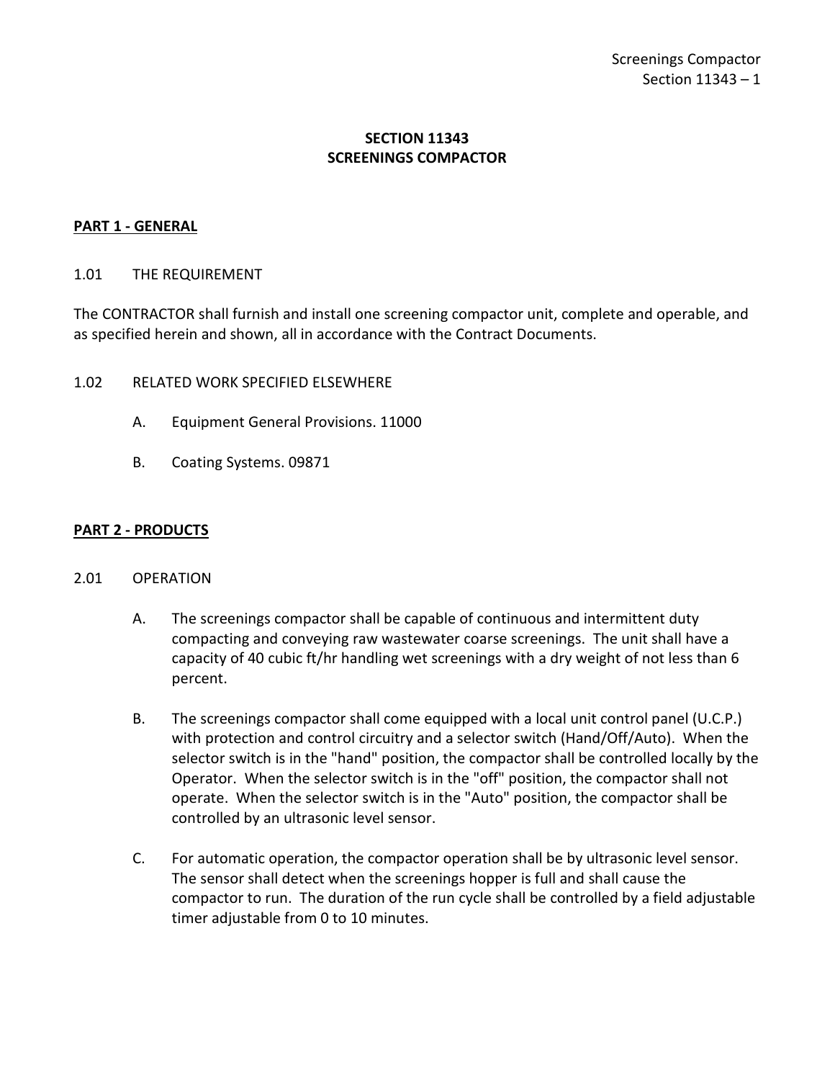## **SECTION 11343 SCREENINGS COMPACTOR**

### <span id="page-2-0"></span>**PART 1 - GENERAL**

### <span id="page-2-1"></span>1.01 THE REQUIREMENT

The CONTRACTOR shall furnish and install one screening compactor unit, complete and operable, and as specified herein and shown, all in accordance with the Contract Documents.

- <span id="page-2-2"></span>1.02 RELATED WORK SPECIFIED ELSEWHERE
	- A. Equipment General Provisions. 11000
	- B. Coating Systems. 09871

### <span id="page-2-3"></span>**PART 2 - PRODUCTS**

#### <span id="page-2-4"></span>2.01 OPERATION

- A. The screenings compactor shall be capable of continuous and intermittent duty compacting and conveying raw wastewater coarse screenings. The unit shall have a capacity of 40 cubic ft/hr handling wet screenings with a dry weight of not less than 6 percent.
- B. The screenings compactor shall come equipped with a local unit control panel (U.C.P.) with protection and control circuitry and a selector switch (Hand/Off/Auto). When the selector switch is in the "hand" position, the compactor shall be controlled locally by the Operator. When the selector switch is in the "off" position, the compactor shall not operate. When the selector switch is in the "Auto" position, the compactor shall be controlled by an ultrasonic level sensor.
- C. For automatic operation, the compactor operation shall be by ultrasonic level sensor. The sensor shall detect when the screenings hopper is full and shall cause the compactor to run. The duration of the run cycle shall be controlled by a field adjustable timer adjustable from 0 to 10 minutes.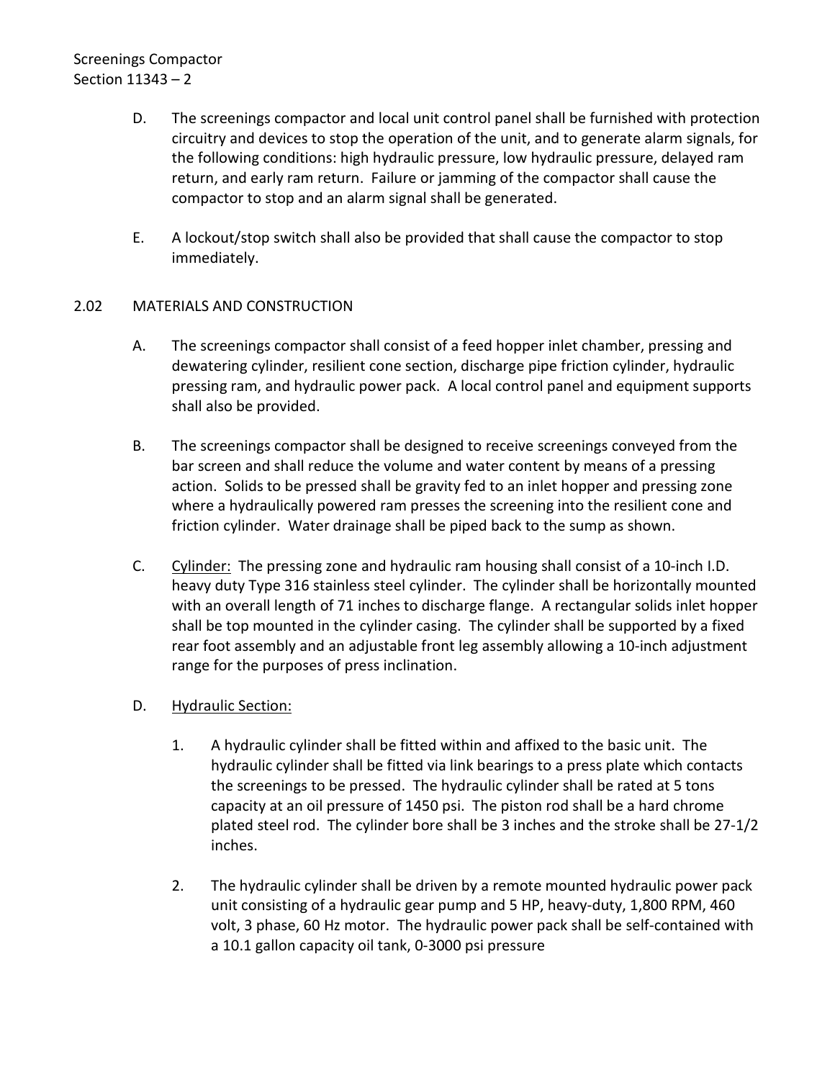# Screenings Compactor Section 11343 – 2

- D. The screenings compactor and local unit control panel shall be furnished with protection circuitry and devices to stop the operation of the unit, and to generate alarm signals, for the following conditions: high hydraulic pressure, low hydraulic pressure, delayed ram return, and early ram return. Failure or jamming of the compactor shall cause the compactor to stop and an alarm signal shall be generated.
- E. A lockout/stop switch shall also be provided that shall cause the compactor to stop immediately.

### <span id="page-3-0"></span>2.02 MATERIALS AND CONSTRUCTION

- A. The screenings compactor shall consist of a feed hopper inlet chamber, pressing and dewatering cylinder, resilient cone section, discharge pipe friction cylinder, hydraulic pressing ram, and hydraulic power pack. A local control panel and equipment supports shall also be provided.
- B. The screenings compactor shall be designed to receive screenings conveyed from the bar screen and shall reduce the volume and water content by means of a pressing action. Solids to be pressed shall be gravity fed to an inlet hopper and pressing zone where a hydraulically powered ram presses the screening into the resilient cone and friction cylinder. Water drainage shall be piped back to the sump as shown.
- C. Cylinder: The pressing zone and hydraulic ram housing shall consist of a 10-inch I.D. heavy duty Type 316 stainless steel cylinder. The cylinder shall be horizontally mounted with an overall length of 71 inches to discharge flange. A rectangular solids inlet hopper shall be top mounted in the cylinder casing. The cylinder shall be supported by a fixed rear foot assembly and an adjustable front leg assembly allowing a 10-inch adjustment range for the purposes of press inclination.
- D. Hydraulic Section:
	- 1. A hydraulic cylinder shall be fitted within and affixed to the basic unit. The hydraulic cylinder shall be fitted via link bearings to a press plate which contacts the screenings to be pressed. The hydraulic cylinder shall be rated at 5 tons capacity at an oil pressure of 1450 psi. The piston rod shall be a hard chrome plated steel rod. The cylinder bore shall be 3 inches and the stroke shall be 27-1/2 inches.
	- 2. The hydraulic cylinder shall be driven by a remote mounted hydraulic power pack unit consisting of a hydraulic gear pump and 5 HP, heavy-duty, 1,800 RPM, 460 volt, 3 phase, 60 Hz motor. The hydraulic power pack shall be self-contained with a 10.1 gallon capacity oil tank, 0-3000 psi pressure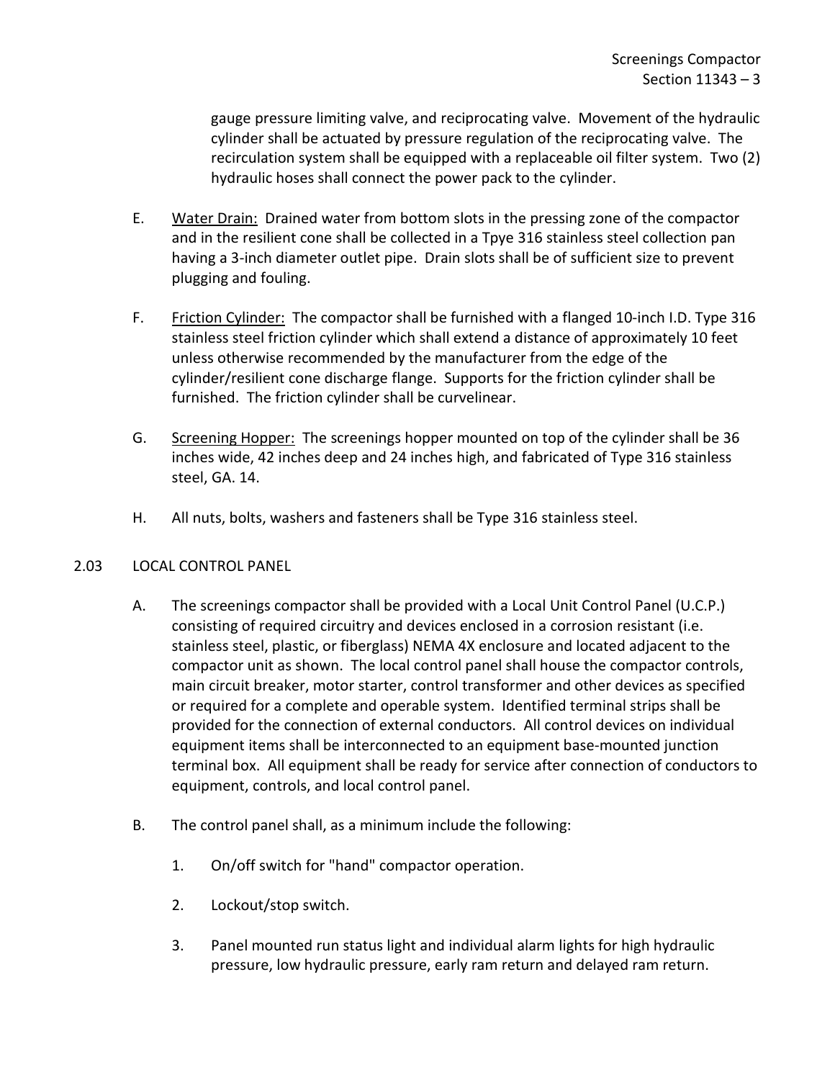gauge pressure limiting valve, and reciprocating valve. Movement of the hydraulic cylinder shall be actuated by pressure regulation of the reciprocating valve. The recirculation system shall be equipped with a replaceable oil filter system. Two (2) hydraulic hoses shall connect the power pack to the cylinder.

- E. Water Drain: Drained water from bottom slots in the pressing zone of the compactor and in the resilient cone shall be collected in a Tpye 316 stainless steel collection pan having a 3-inch diameter outlet pipe. Drain slots shall be of sufficient size to prevent plugging and fouling.
- F. Friction Cylinder: The compactor shall be furnished with a flanged 10-inch I.D. Type 316 stainless steel friction cylinder which shall extend a distance of approximately 10 feet unless otherwise recommended by the manufacturer from the edge of the cylinder/resilient cone discharge flange. Supports for the friction cylinder shall be furnished. The friction cylinder shall be curvelinear.
- G. Screening Hopper: The screenings hopper mounted on top of the cylinder shall be 36 inches wide, 42 inches deep and 24 inches high, and fabricated of Type 316 stainless steel, GA. 14.
- H. All nuts, bolts, washers and fasteners shall be Type 316 stainless steel.

## <span id="page-4-0"></span>2.03 LOCAL CONTROL PANEL

- A. The screenings compactor shall be provided with a Local Unit Control Panel (U.C.P.) consisting of required circuitry and devices enclosed in a corrosion resistant (i.e. stainless steel, plastic, or fiberglass) NEMA 4X enclosure and located adjacent to the compactor unit as shown. The local control panel shall house the compactor controls, main circuit breaker, motor starter, control transformer and other devices as specified or required for a complete and operable system. Identified terminal strips shall be provided for the connection of external conductors. All control devices on individual equipment items shall be interconnected to an equipment base-mounted junction terminal box. All equipment shall be ready for service after connection of conductors to equipment, controls, and local control panel.
- B. The control panel shall, as a minimum include the following:
	- 1. On/off switch for "hand" compactor operation.
	- 2. Lockout/stop switch.
	- 3. Panel mounted run status light and individual alarm lights for high hydraulic pressure, low hydraulic pressure, early ram return and delayed ram return.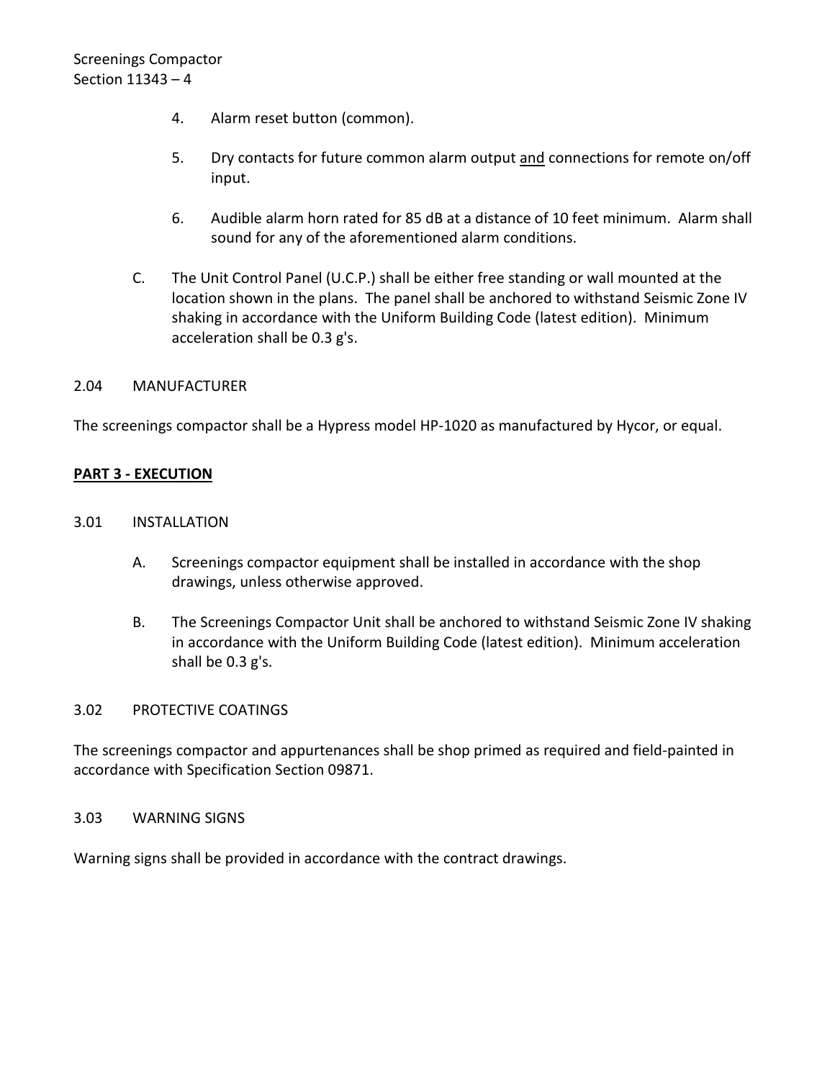- 4. Alarm reset button (common).
- 5. Dry contacts for future common alarm output and connections for remote on/off input.
- 6. Audible alarm horn rated for 85 dB at a distance of 10 feet minimum. Alarm shall sound for any of the aforementioned alarm conditions.
- C. The Unit Control Panel (U.C.P.) shall be either free standing or wall mounted at the location shown in the plans. The panel shall be anchored to withstand Seismic Zone IV shaking in accordance with the Uniform Building Code (latest edition). Minimum acceleration shall be 0.3 g's.

### <span id="page-5-0"></span>2.04 MANUFACTURER

The screenings compactor shall be a Hypress model HP-1020 as manufactured by Hycor, or equal.

### <span id="page-5-1"></span>**PART 3 - EXECUTION**

### <span id="page-5-2"></span>3.01 INSTALLATION

- A. Screenings compactor equipment shall be installed in accordance with the shop drawings, unless otherwise approved.
- B. The Screenings Compactor Unit shall be anchored to withstand Seismic Zone IV shaking in accordance with the Uniform Building Code (latest edition). Minimum acceleration shall be 0.3 g's.

#### <span id="page-5-3"></span>3.02 PROTECTIVE COATINGS

The screenings compactor and appurtenances shall be shop primed as required and field-painted in accordance with Specification Section 09871.

#### <span id="page-5-4"></span>3.03 WARNING SIGNS

Warning signs shall be provided in accordance with the contract drawings.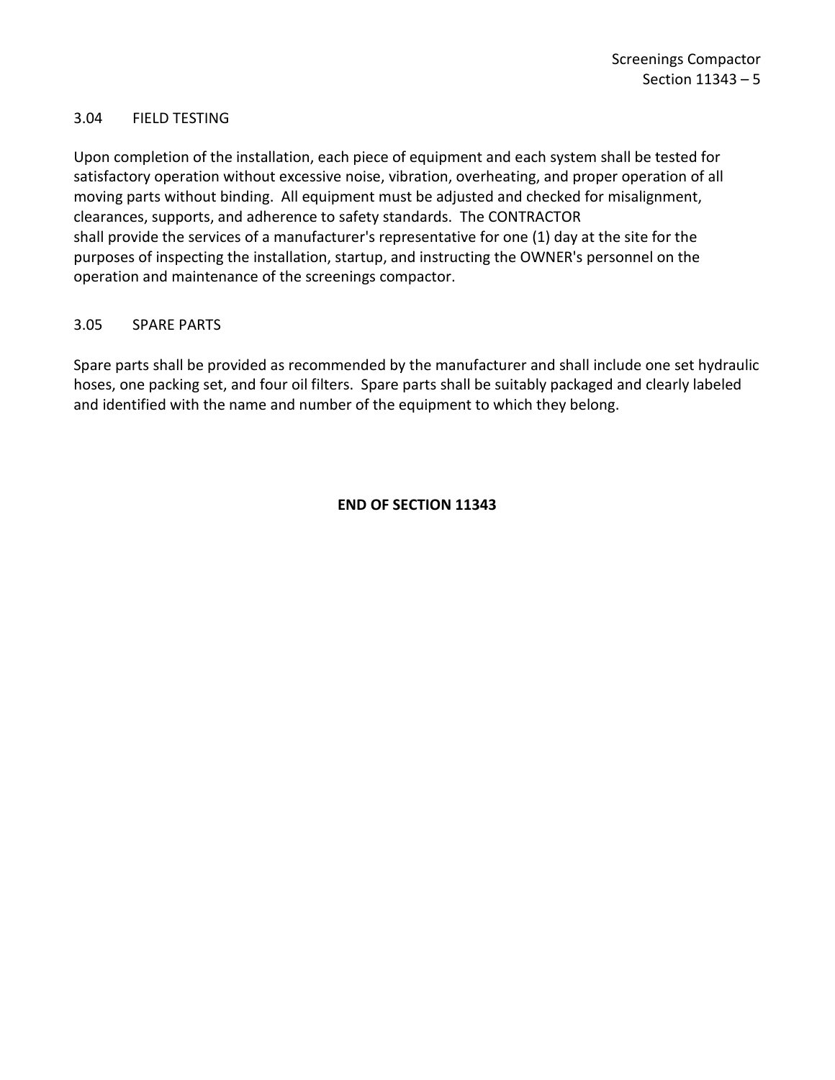### <span id="page-6-0"></span>3.04 FIELD TESTING

Upon completion of the installation, each piece of equipment and each system shall be tested for satisfactory operation without excessive noise, vibration, overheating, and proper operation of all moving parts without binding. All equipment must be adjusted and checked for misalignment, clearances, supports, and adherence to safety standards. The CONTRACTOR shall provide the services of a manufacturer's representative for one (1) day at the site for the purposes of inspecting the installation, startup, and instructing the OWNER's personnel on the operation and maintenance of the screenings compactor.

### <span id="page-6-1"></span>3.05 SPARE PARTS

Spare parts shall be provided as recommended by the manufacturer and shall include one set hydraulic hoses, one packing set, and four oil filters. Spare parts shall be suitably packaged and clearly labeled and identified with the name and number of the equipment to which they belong.

### **END OF SECTION 11343**